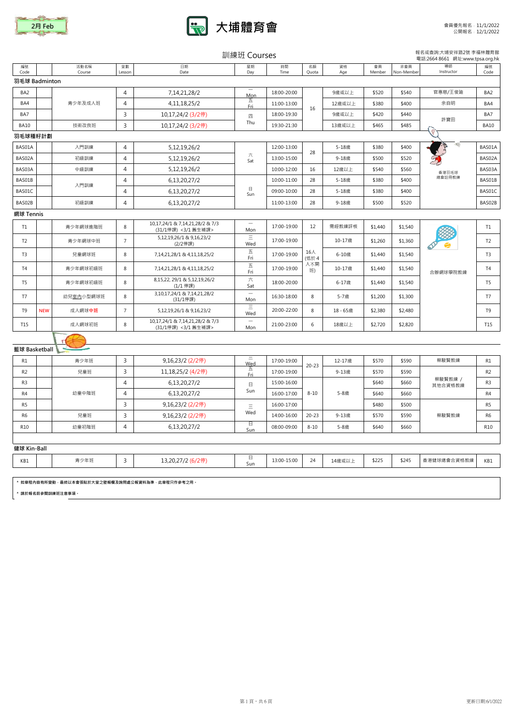



|                 | 訓練班 Courses |                                                                      |                |                                                        |                                 |             |             |           |              |                  | 報名或查詢:大埔安祥路2號 李福林體育館<br>電話:2664 8661 網址:www.tpsa.org.hk |                 |
|-----------------|-------------|----------------------------------------------------------------------|----------------|--------------------------------------------------------|---------------------------------|-------------|-------------|-----------|--------------|------------------|---------------------------------------------------------|-----------------|
| 编號<br>Code      |             | 活動名稱<br>Course                                                       | 堂數<br>Lesson   | 日期<br>Date                                             | 星期<br>Day                       | 時間<br>Time  | 名額<br>Quota | 資格<br>Age | 會員<br>Member | 非會員<br>Non-Membe | 導師<br>Instructor                                        | 編號<br>Code      |
| 羽毛球 Badminton   |             |                                                                      |                |                                                        |                                 |             |             |           |              |                  |                                                         |                 |
| BA <sub>2</sub> |             |                                                                      | $\overline{4}$ | 7,14,21,28/2                                           | Mon                             | 18:00-20:00 |             | 9歲或以上     | \$520        | \$540            | 官惠慈/王俊廸                                                 | BA <sub>2</sub> |
| BA4             |             | 青少年及成人班                                                              | $\overline{4}$ | 4, 11, 18, 25/2                                        | 五<br>Eri                        | 11:00-13:00 |             | 12歲或以上    | \$380        | \$400            | 余自明                                                     | BA4             |
| BA7             |             |                                                                      | 3              | 10,17,24/2 (3/2停)                                      | 四                               | 18:00-19:30 | 16          | 9歲或以上     | \$420        | \$440            |                                                         | BA7             |
| <b>BA10</b>     |             | 技術改良班                                                                | 3              | 10,17,24/2 (3/2停)                                      | Thu                             | 19:30-21:30 |             | 13歲或以上    | \$465        | \$485            | 許寶田                                                     | <b>BA10</b>     |
| 羽毛球種籽計劃         |             |                                                                      |                |                                                        |                                 |             |             |           |              |                  |                                                         |                 |
| BAS01A          |             | 入門訓練                                                                 | $\overline{4}$ | 5,12,19,26/2                                           |                                 | 12:00-13:00 | 28          | 5-18歲     | \$380        | \$400            |                                                         | BAS01A          |
| BAS02A          |             | 初級訓練                                                                 | $\overline{4}$ | 5,12,19,26/2                                           | 六<br>Sat                        | 13:00-15:00 |             | 9-18歲     | \$500        | \$520            |                                                         | BAS02A          |
| BAS03A          |             | 中級訓練                                                                 | $\overline{4}$ | 5, 12, 19, 26/2                                        |                                 | 10:00-12:00 | 16          | 12歳以上     | \$540        | \$560            | 香港羽毛球                                                   | BAS03A          |
| BAS01B          |             | 入門訓練                                                                 | $\overline{4}$ | 6,13,20,27/2                                           |                                 | 10:00-11:00 | 28          | 5-18歲     | \$380        | \$400            | 總會註冊教練                                                  | BAS01B          |
| BAS01C          |             |                                                                      | 4              | 6,13,20,27/2                                           | $\Box$<br>Sun                   | 09:00-10:00 | 28          | 5-18歳     | \$380        | \$400            |                                                         | BAS01C          |
| BAS02B          |             | 初級訓練                                                                 | $\overline{4}$ | 6,13,20,27/2                                           |                                 | 11:00-13:00 | 28          | 9-18歲     | \$500        | \$520            |                                                         | BAS02B          |
| 網球 Tennis       |             |                                                                      |                |                                                        |                                 |             |             |           |              |                  |                                                         |                 |
| T1              |             | 青少年網球進階班                                                             | 8              | 10,17,24/1 & 7,14,21,28/2 & 7/3<br>(31/1停課) <3/1 舊生補課> | Mon                             | 17:00-19:00 | 12          | 需經教練評核    | \$1,440      | \$1,540          |                                                         | T1              |
| T <sub>2</sub>  |             | 青少年網球中班                                                              | $\overline{7}$ | 5,12,19,26/1 & 9,16,23/2<br>(2/2停課)                    | $\equiv$<br>Wed                 | 17:00-19:00 |             | 10-17歲    | \$1,260      | \$1,360          |                                                         | T <sub>2</sub>  |
| T <sub>3</sub>  |             | 兒童網球班                                                                | 8              | 7,14,21,28/1 & 4,11,18,25/2                            | 五<br>Fri                        | 17:00-19:00 | 16人<br>(低於4 | 6-10歲     | \$1,440      | \$1,540          |                                                         | T <sub>3</sub>  |
| T <sub>4</sub>  |             | 青少年網球初級班                                                             | 8              | 7,14,21,28/1 & 4,11,18,25/2                            | 五<br>Fri                        | 17:00-19:00 | 人不開<br>班)   | 10-17歲    | \$1,440      | \$1,540          | 合辦網球學院教練                                                | T <sub>4</sub>  |
| T <sub>5</sub>  |             | 青少年網球初級班                                                             | 8              | 8,15,22, 29/1 & 5,12,19,26/2<br>(1/1 停課)               | 六<br>Sat                        | 18:00-20:00 |             | 6-17歳     | \$1,440      | \$1,540          |                                                         | T <sub>5</sub>  |
| T7              |             | 幼兒室内小型網球班                                                            | $\,$ 8         | 3,10,17,24/1 & 7,14,21,28/2<br>(31/1停課)                | $\overline{\phantom{0}}$<br>Mon | 16:30-18:00 | 8           | 5-7歲      | \$1,200      | \$1,300          |                                                         | T7              |
| T <sub>9</sub>  | <b>NEW</b>  | 成人網球中班                                                               | $\overline{7}$ | 5,12,19,26/1 & 9,16,23/2                               | Ξ<br>Wed                        | 20:00-22:00 | 8           | 18-65歳    | \$2,380      | \$2,480          |                                                         | T <sub>9</sub>  |
| T15             |             | 成人網球初班                                                               | $\bf 8$        | 10,17,24/1 & 7,14,21,28/2 & 7/3<br>(31/1停課) <3/1 舊生補課> | Mon                             | 21:00-23:00 | 6           | 18歳以上     | \$2,720      | \$2,820          |                                                         | T15             |
|                 |             |                                                                      |                |                                                        |                                 |             |             |           |              |                  |                                                         |                 |
| 籃球 Basketball   |             |                                                                      |                |                                                        |                                 |             |             |           |              |                  |                                                         |                 |
| R1              |             | 青少年班                                                                 | 3              | 9,16,23/2 (2/2停)                                       | Ξ<br>Wed                        | 17:00-19:00 | $20 - 23$   | 12-17歲    | \$570        | \$590            | 蔡駿賢教練                                                   | R1              |
| R <sub>2</sub>  |             | 兒童班                                                                  | 3              | 11,18,25/2 (4/2停)                                      | 五<br>Fri                        | 17:00-19:00 |             | 9-13歲     | \$570        | \$590            |                                                         | R <sub>2</sub>  |
| R <sub>3</sub>  |             |                                                                      | $\overline{4}$ | 6,13,20,27/2                                           | 日                               | 15:00-16:00 |             |           | \$640        | \$660            | 蔡駿賢教練 /<br>其他合資格教練                                      | R <sub>3</sub>  |
| R <sub>4</sub>  |             | 幼童中階班                                                                | $\overline{4}$ | 6,13,20,27/2                                           | Sun                             | 16:00-17:00 | $8 - 10$    | 5-8歲      | \$640        | \$660            |                                                         | R <sub>4</sub>  |
| R <sub>5</sub>  |             |                                                                      | $\overline{3}$ | 9,16,23/2 (2/2停)                                       | $\equiv$                        | 16:00-17:00 |             |           | \$480        | \$500            |                                                         | R <sub>5</sub>  |
| R <sub>6</sub>  |             | 兒童班                                                                  | 3              | 9,16,23/2 (2/2停)                                       | Wed                             | 14:00-16:00 | $20 - 23$   | 9-13歲     | \$570        | \$590            | 蔡駿賢教練                                                   | R <sub>6</sub>  |
| R10             |             | 幼童初階班                                                                | $\overline{4}$ | 6,13,20,27/2                                           | 日<br>Sun                        | 08:00-09:00 | $8 - 10$    | 5-8歳      | \$640        | \$660            |                                                         | <b>R10</b>      |
|                 |             |                                                                      |                |                                                        |                                 |             |             |           |              |                  |                                                         |                 |
| 健球 Kin-Ball     |             |                                                                      |                |                                                        |                                 |             |             |           |              |                  |                                                         |                 |
| KB1             |             | 青少年班                                                                 | 3              | 13,20,27/2 (6/2停)                                      | $\Box$<br>Sun                   | 13:00-15:00 | 24          | 14歲或以上    | \$225        | \$245            | 香港健球總會合資格教練                                             | KB1             |
|                 |             |                                                                      |                |                                                        |                                 |             |             |           |              |                  |                                                         |                 |
|                 |             | * 如章程内容有所變動·最終以本會張貼於大堂之壁報欄及詢問處公報資料為準·此章程只作參考之用。<br>* 請於報名前參閱訓練班注意事項。 |                |                                                        |                                 |             |             |           |              |                  |                                                         |                 |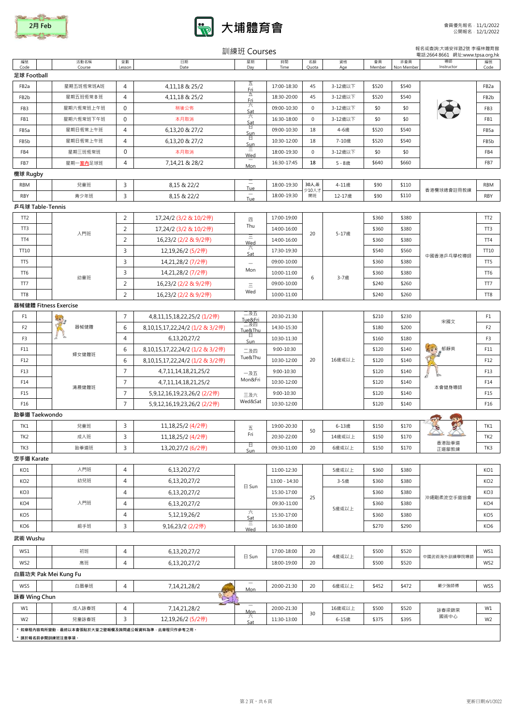



|                   |                                                          |                |                                 | 訓練班 Courses              |               |             |           |              |                   | 報名或查詢:大埔安祥路2號 李福林體育館<br>電話:2664 8661 網址:www.tpsa.org.hk |                   |
|-------------------|----------------------------------------------------------|----------------|---------------------------------|--------------------------|---------------|-------------|-----------|--------------|-------------------|---------------------------------------------------------|-------------------|
| 編號<br>Code        | 活動名稱<br>Course                                           | 堂數<br>Lesson   | 日期<br>Date                      | 星期<br>Day                | 時間<br>Time    | 名額<br>Quota | 資格<br>Age | 會員<br>Member | 非會員<br>Non Member | 導師<br>Instructor                                        | 編號<br>Code        |
| 足球 Football       |                                                          |                |                                 |                          |               |             |           |              |                   |                                                         |                   |
| FB <sub>2</sub> a | 星期五班恆常班A班                                                | 4              | 4,11,18 & 25/2                  | 五<br>Fri                 | 17:00-18:30   | 45          | 3-12歳以下   | \$520        | \$540             |                                                         | FB2a              |
| FB <sub>2</sub> b | 星期五班恆常B班                                                 | $\overline{4}$ | 4,11,18 & 25/2                  | 五<br><u>Fri</u>          | 18:30-20:00   | 45          | 3-12歳以下   | \$520        | \$540             |                                                         | FB <sub>2</sub> b |
| FB3               | 星期六恆常班上午班                                                | 0              | 稍後公佈                            | 六<br>Sat                 | 09:00-10:30   | 0           | 3-12歳以下   | \$0          | \$0               |                                                         | FB3               |
| FB1               | 星期六恆常班下午班                                                | $\mathbf 0$    | 本月取消                            | 六<br>Sat                 | 16:30-18:00   | 0           | 3-12歳以下   | \$0          | \$0               |                                                         | FB1               |
| FB5a              | 星期日恆常上午班                                                 | 4              | 6,13,20 & 27/2                  | 日<br>Sun                 | 09:00-10:30   | 18          | 4-6歳      | \$520        | \$540             |                                                         | FB5a              |
| FB5b              | 星期日恆常上午班                                                 | $\overline{4}$ | 6,13,20 & 27/2                  | 日<br><u>Sun</u>          | 10:30-12:00   | 18          | 7-10歳     | \$520        | \$540             |                                                         | FB5b              |
| FB4               | 星期三班恆常班                                                  | 0              | 本月取消                            | Wed                      | 18:00-19:30   | 0           | 3-12歳以下   | \$0          | \$0               |                                                         | FB4               |
| FB7               | 星期一室内足球班                                                 | 4              | 7,14,21 & 28/2                  | Mon                      | 16:30-17:45   | 18          | 5-8歳      | \$640        | \$660             |                                                         | FB7               |
| 欖球 Rugby          |                                                          |                |                                 |                          |               |             |           |              |                   |                                                         |                   |
| <b>RBM</b>        | 兒童班                                                      | 3              | 8,15 & 22/2                     | <b>Tue</b>               | 18:00-19:30   | 30人,最       | 4-11歲     | \$90         | \$110             |                                                         | <b>RBM</b>        |
| RBY               | 青少年班                                                     | 3              | 8,15 & 22/2                     | Tue                      | 18:00-19:30   | 少10人才<br>開班 | 12-17歲    | \$90         | \$110             | 香港欖球總會註冊教練                                              | RBY               |
|                   | 乒乓球 Table-Tennis                                         |                |                                 |                          |               |             |           |              |                   |                                                         |                   |
| TT <sub>2</sub>   |                                                          | 2              | 17,24/2 (3/2 & 10/2停)           | 四                        | 17:00-19:00   |             |           | \$360        | \$380             |                                                         | TT <sub>2</sub>   |
| TT3               |                                                          | 2              | 17,24/2 (3/2 & 10/2停)           | Thu                      | 14:00-16:00   |             |           | \$360        | \$380             |                                                         | TT3               |
| TT4               | 入門班                                                      | $\overline{2}$ | 16,23/2 (2/2 & 9/2停)            | Ξ<br>Wed                 | 14:00-16:00   | 20          | 5-17歲     | \$360        | \$380             |                                                         | TT4               |
| TT10              |                                                          | 3              | 12,19,26/2 (5/2停)               | 六<br>Sat                 | 17:30-19:30   |             |           | \$540        | \$560             |                                                         | TT10              |
| TT <sub>5</sub>   |                                                          | 3              | 14,21,28/2 (7/2停)               | $\overline{\phantom{0}}$ | 09:00-10:00   |             |           | \$360        | \$380             | 中國香港乒乓學校導師                                              | TT5               |
| TT <sub>6</sub>   |                                                          | 3              | 14,21,28/2 (7/2停)               | Mon                      | 10:00-11:00   |             |           | \$360        | \$380             |                                                         | TT6               |
| TT7               | 幼童班                                                      | $\overline{2}$ | 16,23/2 (2/2 & 9/2停)            | Ξ                        | 09:00-10:00   | 6           | 3-7歲      | \$240        | \$260             |                                                         | TT7               |
| TT8               |                                                          | 2              | 16,23/2 (2/2 & 9/2停)            | Wed                      | 10:00-11:00   |             |           | \$240        | \$260             |                                                         | TT8               |
|                   | 器械健體 Fitness Exercise                                    |                |                                 |                          |               |             |           |              |                   |                                                         |                   |
| F1                | k.                                                       | $\overline{7}$ | 4,8,11,15,18,22,25/2 (1/2停)     | 二及五<br>Tue&Fri           | 20:30-21:30   |             |           | \$210        | \$230             |                                                         | F1                |
| F <sub>2</sub>    | 器械健體                                                     | 6              | 8,10,15,17,22,24/2 (1/2 & 3/2停) | 二及四<br>Tue&Thu           | 14:30-15:30   |             | 16歲或以上    | \$180        | \$200             | 宋國文<br>$\sqrt{2}$<br>郁靜英                                | F <sub>2</sub>    |
| F3                |                                                          | 4              | 6,13,20,27/2                    | 日<br>Sun                 | 10:30-11:30   |             |           | \$160        | \$180             |                                                         | F <sub>3</sub>    |
| F11               |                                                          | 6              | 8,10,15,17,22,24/2 (1/2 & 3/2停) | 二及四                      | 9:00-10:30    |             |           | \$120        | \$140             |                                                         | F11               |
| F12               | 婦女健體班                                                    | 6              | 8,10,15,17,22,24/2 (1/2 & 3/2停) | Tue&Thu                  | 10:30-12:00   | 20          |           | \$120        | \$140             |                                                         | F12               |
| F13               |                                                          | $\overline{7}$ | 4,7,11,14,18,21,25/2            | 一及五                      | 9:00-10:30    |             |           | \$120        | \$140             |                                                         | F13               |
| F14               |                                                          | 7              | 4,7,11,14,18,21,25/2            | Mon&Fri                  | 10:30-12:00   |             |           | \$120        | \$140             |                                                         | F14               |
| F15               | 清晨健體班                                                    | $\overline{7}$ | 5,9,12,16,19,23,26/2 (2/2停)     | 三及六                      | 9:00-10:30    |             |           | \$120        | \$140             | 本會健身導師                                                  | F15               |
| F16               |                                                          | $\overline{7}$ | 5,9,12,16,19,23,26/2 (2/2停)     | Wed&Sat                  | 10:30-12:00   |             |           | \$120        | \$140             |                                                         | F16               |
|                   | 跆拳道 Taekwondo                                            |                |                                 |                          |               |             |           |              |                   |                                                         |                   |
| TK1               | 兒童班                                                      | 3              | 11,18,25/2 (4/2停)               | 五                        | 19:00-20:30   | 50          | 6-13歲     | \$150        | \$170             | ড                                                       | TK1               |
| TK <sub>2</sub>   | 成人班                                                      | 3              | 11,18,25/2 (4/2停)               | Fri                      | 20:30-22:00   |             | 14歲或以上    | \$150        | \$170             | XXXX                                                    | TK <sub>2</sub>   |
| TK3               | 跆拳道班                                                     | 3              | 13,20,27/2 (6/2停)               | E<br>Sun                 | 09:30-11:00   | 20          | 6歲或以上     | \$150        | \$170             | 香港跆拳道<br>正道舘教練                                          | TK3               |
| 空手道 Karate        |                                                          |                |                                 |                          |               |             |           |              |                   |                                                         |                   |
| KO1               | 入門班                                                      | 4              | 6,13,20,27/2                    |                          | 11:00-12:30   |             | 5歲或以上     | \$360        | \$380             |                                                         | KO1               |
| KO <sub>2</sub>   | 幼兒班                                                      | 4              | 6,13,20,27/2                    |                          | 13:00 - 14:30 |             | 3-5歳      | \$360        | \$380             |                                                         | KO <sub>2</sub>   |
| KO3               |                                                          | 4              | 6,13,20,27/2                    | $\boxminus$ Sun          | 15:30-17:00   |             |           | \$360        | \$380             |                                                         | KO3               |
| KO4               | 入門班                                                      | 4              | 6,13,20,27/2                    |                          | 09:30-11:00   | 25          |           | \$360        | \$380             | 沖繩剛柔流空手道協會                                              | KO4               |
| KO <sub>5</sub>   |                                                          | $\overline{4}$ | 5, 12, 19, 26/2                 | 六<br>Sat                 | 15:30-17:00   |             | 5歲或以上     | \$360        | \$380             |                                                         | KO <sub>5</sub>   |
| KO <sub>6</sub>   | 組手班                                                      | 3              | 9,16,23/2 (2/2停)                | Ξ<br>Wed                 | 16:30-18:00   |             |           | \$270        | \$290             |                                                         | KO <sub>6</sub>   |
| 武術 Wushu          |                                                          |                |                                 |                          |               |             |           |              |                   |                                                         |                   |
| WS1               | 初班                                                       | 4              | 6,13,20,27/2                    |                          | 17:00-18:00   | 20          |           | \$500        | \$520             |                                                         | WS1               |
| WS2               | 高班                                                       | 4              |                                 | 日 Sun                    | 18:00-19:00   | 20          | 4歳或以上     | \$500        | \$520             | 中國武術海外訓練學院導師                                            | WS2               |
|                   |                                                          |                | 6,13,20,27/2                    |                          |               |             |           |              |                   |                                                         |                   |
|                   | 白眉功夫 Pak Mei Kung Fu                                     |                |                                 | $\overline{\phantom{0}}$ |               |             |           |              |                   |                                                         |                   |
| WS5               | 白眉拳班                                                     | 4              | 7,14,21,28/2                    | <b>Mon</b>               | 20:00-21:30   | 20          | 6歲或以上     | \$452        | \$472             | 嚴少強師傅                                                   | WS5               |
| 詠春 Wing Chun      |                                                          |                | BLE                             |                          |               |             |           |              |                   |                                                         |                   |
| W1                | 成人詠春班                                                    | 4              | 7,14,21,28/2                    | Mon<br>六                 | 20:00-21:30   | 30          | 16歲或以上    | \$500        | \$520             | 詠春梁錦棠<br>國術中心                                           | W1                |
| W <sub>2</sub>    | 兒童詠春班<br>* 如章程内容有所變動·最終以本會張貼於大堂之壁報欄及詢問處公報資料為準·此章程只作參考之用。 | 3              | 12,19,26/2 (5/2停)               | Sat                      | 11:30-13:00   |             | 6-15歳     | \$375        | \$395             |                                                         | W <sub>2</sub>    |

\* 請於報名前參閱訓練班注意事項。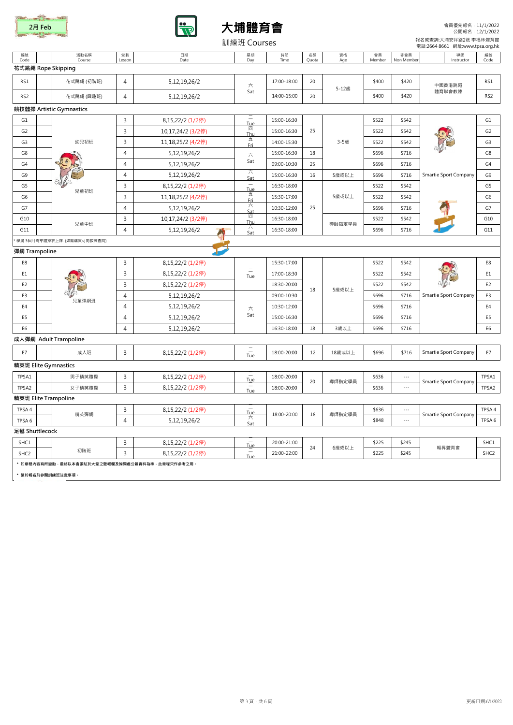





會員優先報名﹕11/1/2022 公開報名﹕12/1/2022

|                   | 報名或查詢:大埔安祥路2號 李福林體育館<br>訓練班 Courses<br>電話:2664 8661 網址:www.tpsa.org.hk |                |                   |                 |             |             |           |              |                      |                       |                  |  |  |
|-------------------|------------------------------------------------------------------------|----------------|-------------------|-----------------|-------------|-------------|-----------|--------------|----------------------|-----------------------|------------------|--|--|
| 編號<br>Code        | 活動名稱<br>Course                                                         | 堂數<br>Lesson   | 日期<br>Date        | 星期<br>Day       | 時間<br>Time  | 名額<br>Quota | 資格<br>Age | 會員<br>Member | 非會員<br>Non Member    | 導師<br>Instructor      | 編號<br>Code       |  |  |
|                   | 花式跳繩 Rope Skipping                                                     |                |                   |                 |             |             |           |              |                      |                       |                  |  |  |
| RS1               | 花式跳繩 (初階班)                                                             | $\overline{4}$ | 5,12,19,26/2      | 六               | 17:00-18:00 | 20          |           | \$400        | \$420                | 中國香港跳繩                | RS1              |  |  |
| RS <sub>2</sub>   | 花式跳繩 (興趣班)                                                             | $\overline{4}$ | 5,12,19,26/2      | Sat             | 14:00-15:00 | 20          | 5-12歳     | \$400        | \$420                | 體育聯會教練                | RS <sub>2</sub>  |  |  |
|                   | 競技體操 Artistic Gymnastics                                               |                |                   |                 |             |             |           |              |                      |                       |                  |  |  |
| G1                |                                                                        | $\overline{3}$ | 8,15,22/2 (1/2停)  | Tue             | 15:00-16:30 | 25          |           | \$522        | \$542                |                       | G <sub>1</sub>   |  |  |
| G <sub>2</sub>    |                                                                        | $\overline{3}$ | 10,17,24/2 (3/2停) | 四<br>Thu        | 15:00-16:30 |             |           | \$522        | \$542                |                       | G <sub>2</sub>   |  |  |
| G <sub>3</sub>    | 幼兒初班                                                                   | 3              | 11,18,25/2 (4/2停) | 五<br>Fri        | 14:00-15:30 |             | 3-5歳      | \$522        | \$542                |                       | G <sub>3</sub>   |  |  |
| G8                |                                                                        | $\overline{4}$ | 5,12,19,26/2      | 六               | 15:00-16:30 | 18          |           | \$696        | \$716                |                       | G8               |  |  |
| G <sub>4</sub>    |                                                                        | $\overline{4}$ | 5, 12, 19, 26/2   | Sat             | 09:00-10:30 | 25          |           | \$696        | \$716                |                       | G <sub>4</sub>   |  |  |
| G9                |                                                                        | $\overline{4}$ | 5, 12, 19, 26/2   | 六<br><u>Sat</u> | 15:00-16:30 | 16          | 5歲或以上     | \$696        | \$716                | Smartie Sport Company | G9               |  |  |
| G5                | 兒童初班                                                                   | $\overline{3}$ | 8,15,22/2 (1/2停)  | Tue             | 16:30-18:00 |             |           | \$522        | \$542                |                       | G5               |  |  |
| G6                |                                                                        | $\overline{3}$ | 11,18,25/2 (4/2停) | 五<br>Fri        | 15:30-17:00 |             | 5歲或以上     | \$522        | \$542                |                       | G6               |  |  |
| G7                |                                                                        | $\overline{4}$ | 5,12,19,26/2      | ᄎ<br>st<br>四    | 10:30-12:00 | 25          |           | \$696        | \$716                |                       | G7               |  |  |
| G10               | 兒童中班                                                                   | 3              | 10,17,24/2 (3/2停) | Thu             | 16:30-18:00 |             | 導師指定學員    | \$522        | \$542                |                       | G10              |  |  |
| G11               |                                                                        | 4              | 5, 12, 19, 26/2   | 六<br>Sat        | 16:30-18:00 |             |           | \$696        | \$716                |                       | G11              |  |  |
|                   | 學滿 3個月需穿體操衣上課. (如需購買可向教練查詢)                                            |                |                   |                 |             |             |           |              |                      |                       |                  |  |  |
| 彈網 Trampoline     |                                                                        |                |                   |                 |             |             |           |              |                      |                       |                  |  |  |
| E8                |                                                                        | 3              | 8,15,22/2 (1/2停)  | $\equiv$<br>Tue | 15:30-17:00 | 18          |           | \$522        | \$542                | Smartie Sport Company | E8               |  |  |
| E1                |                                                                        | 3              | 8,15,22/2 (1/2停)  |                 | 17:00-18:30 |             |           | \$522        | \$542                |                       | E1               |  |  |
| E <sub>2</sub>    |                                                                        | $\overline{3}$ | 8,15,22/2 (1/2停)  |                 | 18:30-20:00 |             | 5歲或以上     | \$522        | \$542                |                       | E <sub>2</sub>   |  |  |
| E <sub>3</sub>    | 兒童彈網班                                                                  | 4              | 5, 12, 19, 26/2   |                 | 09:00-10:30 |             |           | \$696        | \$716                |                       | E <sub>3</sub>   |  |  |
| E4                |                                                                        | $\overline{4}$ | 5,12,19,26/2      | 六               | 10:30-12:00 |             |           | \$696        | \$716                |                       | E4               |  |  |
| E <sub>5</sub>    |                                                                        | $\overline{4}$ | 5, 12, 19, 26/2   | Sat             | 15:00-16:30 |             |           | \$696        | \$716                |                       | E5               |  |  |
| E <sub>6</sub>    |                                                                        | $\overline{4}$ | 5, 12, 19, 26/2   |                 | 16:30-18:00 | 18          | 3歳以上      | \$696        | \$716                |                       | E <sub>6</sub>   |  |  |
|                   | 成人彈網 Adult Trampoline                                                  |                |                   |                 |             |             |           |              |                      |                       |                  |  |  |
| E7                | 成人班                                                                    | $\overline{3}$ | 8,15,22/2 (1/2停)  | $\equiv$<br>Tue | 18:00-20:00 | 12          | 18歲或以上    | \$696        | \$716                | Smartie Sport Company | E7               |  |  |
|                   | 精英班 Elite Gymnastics                                                   |                |                   |                 |             |             |           |              |                      |                       |                  |  |  |
| TPSA1             | 男子精英體操                                                                 | 3              | 8,15,22/2 (1/2停)  | Tue             | 18:00-20:00 | 20          | 導師指定學員    | \$636        | $\ldots$             | Smartie Sport Company | TPSA1            |  |  |
| TPSA2             | 女子精英體操                                                                 | $\overline{3}$ | 8,15,22/2 (1/2停)  | Tue             | 18:00-20:00 |             |           | \$636        | $\cdots$             |                       | TPSA2            |  |  |
|                   | 精英班 Elite Trampoline                                                   |                |                   |                 |             |             |           |              |                      |                       |                  |  |  |
| TPSA4             | 精英彈網                                                                   | 3              | 8,15,22/2 (1/2停)  | Tue             | 18:00-20:00 | 18          | 導師指定學員    | \$636        | $\sim$ $\sim$ $\sim$ | Smartie Sport Company | TPSA 4           |  |  |
| TPSA <sub>6</sub> |                                                                        | $\overline{4}$ | 5, 12, 19, 26/2   | 六<br>Sat        |             |             |           | \$848        | $\sim$               |                       | TPSA 6           |  |  |
| 足毽 Shuttlecock    |                                                                        |                |                   |                 |             |             |           |              |                      |                       |                  |  |  |
| SHC1              |                                                                        | 3              | 8,15,22/2 (1/2停)  | Tue             | 20:00-21:00 | 24          | 6歳或以上     | \$225        | \$245                | 翱昇體育會                 | SHC1             |  |  |
| SHC <sub>2</sub>  | 初階班                                                                    | $\overline{3}$ | 8,15,22/2 (1/2停)  | Tue             | 21:00-22:00 |             |           | \$225        | \$245                |                       | SHC <sub>2</sub> |  |  |
|                   | * 如章程内容有所變動·最終以本會張貼於大堂之壁報欄及詢問處公報資料為準·此章程只作參考之用。                        |                |                   |                 |             |             |           |              |                      |                       |                  |  |  |
|                   | 請於報名前參閱訓練班注意事項                                                         |                |                   |                 |             |             |           |              |                      |                       |                  |  |  |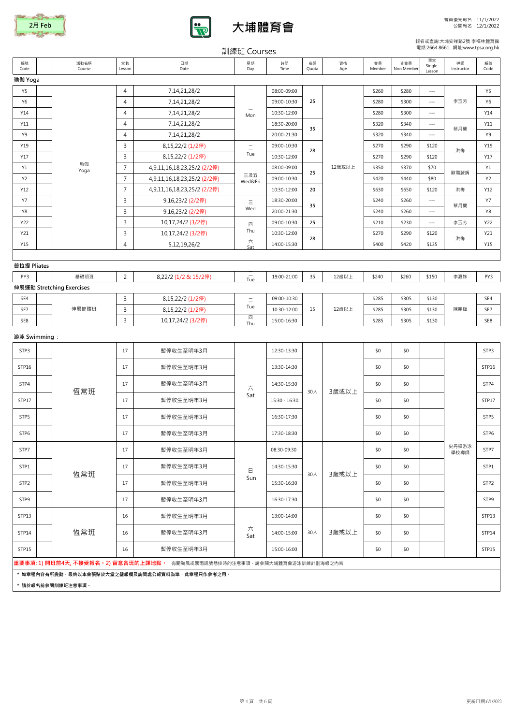





## 報名或查詢:大埔安祥路2號 李福林體育館 電話:2664 8661 網址:www.tpsa.org.hk

| 電話:2664 8661 網址:www.tpsa.org.hk<br>訓練班 Courses |             |                           |                |                                                                                    |                          |               |             |           |              |                   |                          |                  |                |
|------------------------------------------------|-------------|---------------------------|----------------|------------------------------------------------------------------------------------|--------------------------|---------------|-------------|-----------|--------------|-------------------|--------------------------|------------------|----------------|
| 編號<br>Code                                     |             | 活動名稱<br>Course            | 堂數<br>Lesson   | 日期<br>Date                                                                         | 星期<br>Day                | 時間<br>Time    | 名額<br>Quota | 資格<br>Age | 會員<br>Member | 非會員<br>Non Member | 單堂<br>Single<br>Lesson   | 導師<br>Instructor | 編號<br>Code     |
| 瑜伽 Yoga                                        |             |                           |                |                                                                                    |                          |               |             |           |              |                   |                          |                  |                |
| Y5                                             |             |                           | $\overline{4}$ | 7,14,21,28/2                                                                       |                          | 08:00-09:00   |             |           | \$260        | \$280             | $\overline{\phantom{a}}$ |                  | Y5             |
| Y6                                             |             |                           | $\overline{4}$ | 7, 14, 21, 28/2                                                                    |                          | 09:00-10:30   | 25          |           | \$280        | \$300             | $\sim$ $\sim$ $\sim$     | 李玉芳              | Y6             |
| Y14                                            |             |                           | $\overline{4}$ | 7, 14, 21, 28/2                                                                    | Mon                      | 10:30-12:00   |             |           | \$280        | \$300             | $\sim$ $\sim$ $\sim$     |                  | Y14            |
| Y11                                            |             |                           | 4              | 7,14,21,28/2                                                                       |                          | 18:30-20:00   | 35          |           | \$320        | \$340             | $\sim$ $\sim$ $\sim$     | 蔡月蘭              | Y11            |
| Y9                                             |             |                           | $\overline{4}$ | 7,14,21,28/2                                                                       |                          | 20:00-21:30   |             |           | \$320        | \$340             | $\overline{\phantom{a}}$ |                  | Y9             |
| Y19                                            |             |                           | 3              | 8,15,22/2 (1/2停)                                                                   | $\equiv$                 | 09:00-10:30   | 28          |           | \$270        | \$290             | \$120                    | 洪梅               | Y19            |
| Y17                                            |             |                           | 3              | 8,15,22/2 (1/2停)                                                                   | Tue                      | 10:30-12:00   |             |           | \$270        | \$290             | \$120                    |                  | Y17            |
| Y1                                             |             | 瑜伽<br>Yoga                | $\overline{7}$ | 4,9,11,16,18,23,25/2 (2/2停)                                                        |                          | 08:00-09:00   | 25          | 12歳或以上    | \$350        | \$370             | \$70                     | 歐陽麗娟             | Y1             |
| Y2                                             |             |                           | $\overline{7}$ | 4,9,11,16,18,23,25/2 (2/2停)                                                        | 三及五<br>Wed&Fri           | 09:00-10:30   |             |           | \$420        | \$440             | \$80                     |                  | Y <sub>2</sub> |
| Y12                                            |             |                           | $\overline{7}$ | 4,9,11,16,18,23,25/2 (2/2停)                                                        |                          | 10:30-12:00   | 20          |           | \$630        | \$650             | \$120                    | 洪梅               | Y12            |
| <b>Y7</b>                                      |             |                           | 3              | 9,16,23/2 (2/2停)                                                                   | $\equiv$                 | 18:30-20:00   | 35          |           | \$240        | \$260             | $\sim$ $\sim$ $\sim$     | 蔡月蘭              | <b>Y7</b>      |
| Y8                                             |             |                           | 3              | 9,16,23/2 (2/2停)                                                                   | Wed                      | 20:00-21:30   |             |           | \$240        | \$260             | $\sim$ $\sim$ $\sim$     |                  | Y8             |
| Y22                                            |             |                           | 3              | 10,17,24/2 (3/2停)                                                                  | 四<br>Thu                 | 09:00-10:30   | 25          |           | \$210        | \$230             | $\overline{\phantom{a}}$ | 李玉芳<br>洪梅        | Y22            |
| Y21                                            |             |                           | 3              | 10,17,24/2 (3/2停)                                                                  | ᄎ                        | 10:30-12:00   | 28          |           | \$270        | \$290             | \$120                    |                  | Y21            |
| Y15                                            |             |                           | $\overline{4}$ | 5,12,19,26/2                                                                       | Sat                      | 14:00-15:30   |             |           | \$400        | \$420             | \$135                    |                  | Y15            |
|                                                | 普拉提 Pliates |                           |                |                                                                                    |                          |               |             |           |              |                   |                          |                  |                |
| PY3                                            |             | 基礎初班                      |                |                                                                                    | $\overline{\phantom{0}}$ |               |             |           |              |                   |                          |                  |                |
|                                                |             | 伸展運動 Stretching Exercises | 2              | 8,22/2 (1/2 & 15/2停)                                                               | Tue                      | 19:00-21:00   | 35          | 12歳以上     | \$240        | \$260             | \$150                    | 李夏妹              | PY3            |
| SE4                                            |             |                           | 3              | 8,15,22/2 (1/2停)                                                                   |                          | 09:00-10:30   |             |           | \$285        | \$305             | \$130                    |                  | SE4            |
| SE7                                            |             | 伸展健體班                     | 3              | 8,15,22/2 (1/2停)                                                                   | $\equiv$<br>Tue          | 10:30-12:00   | 15          | 12歳以上     | \$285        | \$305             | \$130                    | 陳麗媚              | SE7            |
| SE8                                            |             |                           | 3              | 10,17,24/2 (3/2停)                                                                  | 四                        | 15:00-16:30   |             |           | \$285        | \$305             | \$130                    |                  | SE8            |
|                                                |             |                           |                |                                                                                    | Thu                      |               |             |           |              |                   |                          |                  |                |
| 游泳 Swimming :                                  |             |                           |                |                                                                                    |                          |               |             |           |              |                   |                          |                  |                |
| STP3                                           |             |                           | 17             | 暫停收生至明年3月                                                                          |                          | 12:30-13:30   |             |           | \$0          | \$0               |                          |                  | STP3           |
| STP16                                          |             |                           | 17             | 暫停收生至明年3月                                                                          |                          | 13:30-14:30   |             |           | \$0          | \$0               |                          |                  | STP16          |
| STP4                                           |             | 恆常班                       | 17             | 暫停收生至明年3月                                                                          | 六                        | 14:30-15:30   | 30人         | 3歲或以上     | \$0          | \$0               |                          |                  | STP4           |
| STP17                                          |             |                           | 17             | 暫停收生至明年3月                                                                          | Sat                      | 15:30 - 16:30 |             |           | \$0          | \$0               |                          |                  | STP17          |
| STP5                                           |             |                           | 17             | 暫停收生至明年3月                                                                          |                          | 16:30-17:30   |             |           | \$0          | \$0               |                          |                  | STP5           |
| STP6                                           |             |                           | 17             | 暫停收生至明年3月                                                                          |                          | 17:30-18:30   |             |           | \$0          | \$0               |                          |                  | STP6           |
| STP7                                           |             |                           | 17             | 暫停收生至明年3月                                                                          |                          | 08:30-09:30   |             |           | \$0          | \$0               |                          | 史丹福游泳<br>學校導師    | STP7           |
| STP1                                           |             | 恆常班                       | 17             | 暫停收生至明年3月                                                                          | 日                        | 14:30-15:30   | 30人         | 3歲或以上     | \$0          | \$0               |                          |                  | STP1           |
| STP2                                           |             |                           | 17             | 暫停收生至明年3月                                                                          | Sun                      | 15:30-16:30   |             |           | \$0          | \$0               |                          |                  | STP2           |
| STP9                                           |             |                           | 17             | 暫停收生至明年3月                                                                          |                          | 16:30-17:30   |             |           | \$0          | \$0               |                          |                  | STP9           |
| STP13                                          |             |                           | 16             | 暫停收生至明年3月                                                                          |                          | 13:00-14:00   |             |           | \$0          | \$0               |                          |                  | STP13          |
| STP14                                          |             | 恆常班                       | 16             | 暫停收生至明年3月                                                                          | 六<br>Sat                 | 14:00-15:00   | 30人         | 3歳或以上     | \$0          | \$0               |                          |                  | STP14          |
| STP15                                          |             |                           | 16             | 暫停收生至明年3月                                                                          |                          | 15:00-16:00   |             |           | \$0          | \$0               |                          |                  | STP15          |
|                                                |             |                           |                | <b>重要事項: 1) 開班前4天, 不接受報名。2) 留意各班的上課地點。</b> 有關颱風或暴雨訊號懸掛時的注意事項 · 請參閱大埔體育會游泳訓練計劃海報之內容 |                          |               |             |           |              |                   |                          |                  |                |
|                                                |             | * 請於報名前參閱訓練班注意事項。         |                | * 如章程内容有所變動·最終以本會張貼於大堂之壁報欄及詢問處公報資料為準·此章程只作參考之用。                                    |                          |               |             |           |              |                   |                          |                  |                |
|                                                |             |                           |                |                                                                                    |                          |               |             |           |              |                   |                          |                  |                |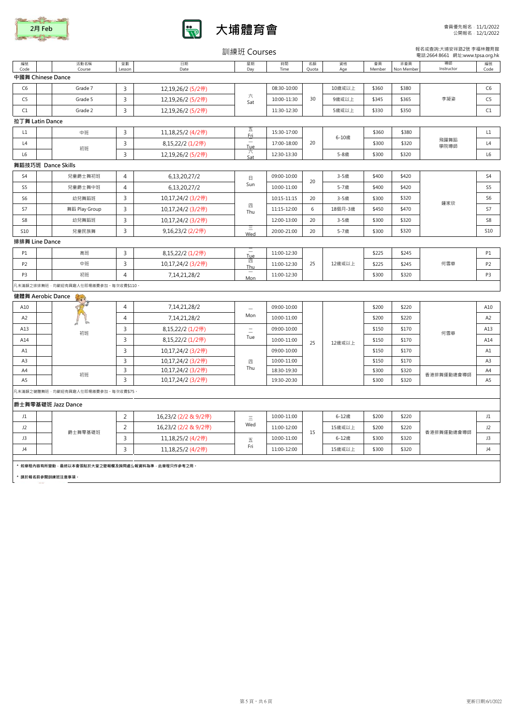





報名或查詢:大埔安祥路2號 李福林體育館 電話:2664 8661 網址:www.tpsa.org.hk

| 報名或查詢:大埔安祥路2號 李福林體育館<br>訓練班 Courses<br>電話:2664 8661 網址:www.tpsa.org.hk |                                                 |                |                      |                         |             |             |           |              |                   |                  |                |
|------------------------------------------------------------------------|-------------------------------------------------|----------------|----------------------|-------------------------|-------------|-------------|-----------|--------------|-------------------|------------------|----------------|
| 編號<br>Code                                                             | 活動名稱<br>Course                                  | 堂數<br>Lesson   | 日期<br>Date           | 星期<br>Day               | 時間<br>Time  | 名額<br>Quota | 資格<br>Age | 會員<br>Member | 非會員<br>Non Member | 導師<br>Instructor | 編號<br>Code     |
|                                                                        | 中國舞 Chinese Dance                               |                |                      |                         |             |             |           |              |                   |                  |                |
| C <sub>6</sub>                                                         | Grade 7                                         | 3              | 12,19,26/2 (5/2停)    |                         | 08:30-10:00 |             | 10歲或以上    | \$360        | \$380             | 李凝姿              | C <sub>6</sub> |
| C5                                                                     | Grade 5                                         | 3              | 12,19,26/2 (5/2停)    | 六<br>Sat                | 10:00-11:30 | 30          | 9歲或以上     | \$345        | \$365             |                  | C <sub>5</sub> |
| C1                                                                     | Grade 2                                         | $\overline{3}$ | 12,19,26/2 (5/2停)    |                         | 11:30-12:30 |             | 5歲或以上     | \$330        | \$350             |                  | C1             |
|                                                                        | 拉丁舞 Latin Dance                                 |                |                      |                         |             |             |           |              |                   |                  |                |
| L1                                                                     | 中班                                              | 3              | 11,18,25/2 (4/2停)    | 五<br>Fri                | 15:30-17:00 |             |           | \$360        | \$380             |                  | L1             |
| L4                                                                     |                                                 | 3              | 8,15,22/2 (1/2停)     | Tue                     | 17:00-18:00 | 20          | 6-10歲     | \$300        | \$320             | 飛躍舞蹈<br>學院導師     | L4             |
| L <sub>6</sub>                                                         | 初班                                              | 3              | 12,19,26/2 (5/2停)    | 六<br>Sat                | 12:30-13:30 |             | 5-8歲      | \$300        | \$320             |                  | L <sub>6</sub> |
|                                                                        | 舞蹈技巧班 Dance Skills                              |                |                      |                         |             |             |           |              |                   |                  |                |
| S <sub>4</sub>                                                         | 兒童爵士舞初班                                         | $\overline{4}$ | 6,13,20,27/2         | 日                       | 09:00-10:00 |             | 3-5歲      | \$400        | \$420             |                  | S <sub>4</sub> |
| S <sub>5</sub>                                                         | 兒童爵士舞中班                                         | $\overline{4}$ | 6,13,20,27/2         | Sun                     | 10:00-11:00 | 20          | 5-7歲      | \$400        | \$420             |                  | S5             |
| S <sub>6</sub>                                                         | 幼兒舞蹈班                                           | 3              | 10,17,24/2 (3/2停)    |                         | 10:15-11:15 | 20          | 3-5歲      | \$300        | \$320             |                  | S <sub>6</sub> |
| S7                                                                     | 舞蹈 Play Group                                   | 3              | 10,17,24/2 (3/2停)    | 四<br>Thu                | 11:15-12:00 | 6           | 18個月-3歲   | \$450        | \$470             | 鍾家欣              | S7             |
| S8                                                                     | 幼兒舞蹈班                                           | $\mathsf{3}$   | 10,17,24/2 (3/2停)    |                         | 12:00-13:00 | 20          | 3-5歲      | \$300        | \$320             |                  | S8             |
| S10                                                                    | 兒童民族舞                                           | 3              | 9,16,23/2 (2/2停)     | Ξ<br>Wed                | 20:00-21:00 | 20          | 5-7歲      | \$300        | \$320             |                  | S10            |
|                                                                        | 排排舞 Line Dance                                  |                |                      |                         |             |             |           |              |                   |                  |                |
| P1                                                                     | 高班                                              | $\overline{3}$ | 8,15,22/2 (1/2停)     | Tue<br>四<br>Thu         | 11:00-12:30 | 25          | 12歳或以上    | \$225        | \$245             | 何雪華              | <b>P1</b>      |
| P <sub>2</sub>                                                         | 中班                                              | $\overline{3}$ | 10,17,24/2 (3/2停)    |                         | 11:00-12:30 |             |           | \$225        | \$245             |                  | <b>P2</b>      |
| P3                                                                     | 初班                                              | $\overline{4}$ | 7, 14, 21, 28/ 2     | Mon                     | 11:00-12:30 |             |           | \$300        | \$320             |                  | P <sub>3</sub> |
|                                                                        | 凡未滿額之排排舞班 · 均歡迎有興趣人仕即場繳費參加 · 每次收費\$110 ·        |                |                      |                         |             |             |           |              |                   |                  |                |
|                                                                        | 健體舞 Aerobic Dance                               |                |                      |                         |             |             |           |              |                   |                  |                |
| A10                                                                    |                                                 | $\overline{4}$ | 7,14,21,28/2         | L.                      | 09:00-10:00 |             |           | \$200        | \$220             |                  | A10            |
| A <sub>2</sub>                                                         |                                                 | $\overline{4}$ | 7,14,21,28/2         | Mon                     | 10:00-11:00 |             |           | \$200        | \$220             | 何雪華              | A <sub>2</sub> |
| A13                                                                    | 初班                                              | 3              | 8,15,22/2 (1/2停)     | $\equiv$                | 09:00-10:00 |             |           | \$150        | \$170             |                  | A13            |
| A14                                                                    |                                                 | $\overline{3}$ | 8,15,22/2 (1/2停)     | Tue                     | 10:00-11:00 | 25          | 12歲或以上    | \$150        | \$170             |                  | A14            |
| A1                                                                     |                                                 | $\overline{3}$ | 10,17,24/2 (3/2停)    |                         | 09:00-10:00 |             |           | \$150        | \$170             |                  | A1             |
| A <sub>3</sub>                                                         |                                                 | 3              | 10,17,24/2 (3/2停)    | 四                       | 10:00-11:00 |             |           | \$150        | \$170             |                  | A3             |
| A4                                                                     | 初班                                              | $\overline{3}$ | 10,17,24/2 (3/2停)    | Thu                     | 18:30-19:30 |             |           | \$300        | \$320             | 香港排舞運動總會導師       | A4             |
| A5                                                                     |                                                 | 3              | 10,17,24/2 (3/2停)    |                         | 19:30-20:30 |             |           | \$300        | \$320             |                  | A5             |
|                                                                        | 凡未滿額之健體舞班·均歡迎有興趣人仕即場繳費參加·每次收費\$75·              |                |                      |                         |             |             |           |              |                   |                  |                |
|                                                                        | 爵士舞零基礎班 Jazz Dance                              |                |                      |                         |             |             |           |              |                   |                  |                |
| J1                                                                     |                                                 | 2              | 16,23/2 (2/2 & 9/2停) | Ξ                       | 10:00-11:00 |             | 6-12歲     | \$200        | \$220             |                  | J1             |
| J2                                                                     | 爵士舞零基礎班                                         | 2              | 16,23/2 (2/2 & 9/2停) | Wed                     | 11:00-12:00 |             | 15歲或以上    | \$200        | \$220             |                  | J2             |
| J3                                                                     |                                                 | 3              | 11,18,25/2 (4/2停)    | $\overline{\mathrm{h}}$ | 10:00-11:00 | 15          | 6-12歲     | \$300        | \$320             | 香港排舞運動總會導師       | J3             |
| J4                                                                     |                                                 | $\overline{3}$ | 11,18,25/2 (4/2停)    | Fri                     | 11:00-12:00 |             | 15歲或以上    | \$300        | \$320             |                  | J4             |
|                                                                        |                                                 |                |                      |                         |             |             |           |              |                   |                  |                |
|                                                                        | * 如章程内容有所變動,最終以本會張貼於大堂之壁報欄及詢問處公報資料為準,此章程只作參考之用。 |                |                      |                         |             |             |           |              |                   |                  |                |
|                                                                        | * 請於報名前參閱訓練班注意事項。                               |                |                      |                         |             |             |           |              |                   |                  |                |